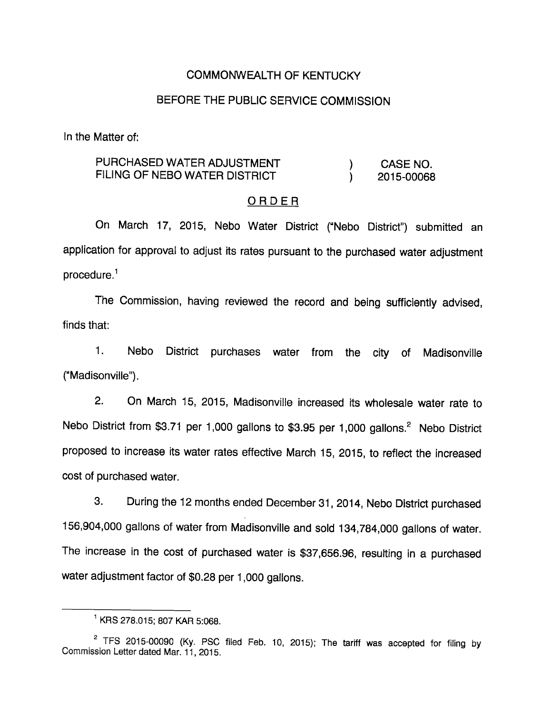### COMMONWEALTH OF KENTUCKY

### BEFORE THE PUBLIC SERVICE COMMISSION

In the Matter of:

### PURCHASED WATER ADJUSTMENT (ASSENO. FILING OF NEBO WATER DISTRICT (2015-00068

#### ORDER

On March 17, 2015, Nebo Water District ("Nebo District") submitted an application for approval to adjust its rates pursuant to the purchased water adjustment  $procedure<sup>1</sup>$ 

The Commission, having reviewed the record and being sufficiently advised, finds that:

1. Nebo District purchases water from the city of Madisonville ("Madisonville").

2. On March 15, 2015, Madisonville increased its wholesale water rate to Nebo District from \$3.71 per 1,000 gallons to \$3.95 per 1,000 gallons.<sup>2</sup> Nebo District proposed to increase its water rates effective March 15, 2015, to reflect the increased cost of purchased water.

3. During the 12 months ended December 31, 2014, Nebo District purchased 156,904,000 gallons of water from Madisonville and sold 134,784,000 gallons of water. The increase in the cost of purchased water is \$37,656.96, resulting in a purchased water adjustment factor of \$0.28 per 1,000 gallons.

 $^1$  KRS 278.015; 807 KAR 5:068.

 $2$  TFS 2015-00090 (Ky. PSC filed Feb. 10, 2015); The tariff was accepted for filing by Commission Letter dated Mar. 11, 2015.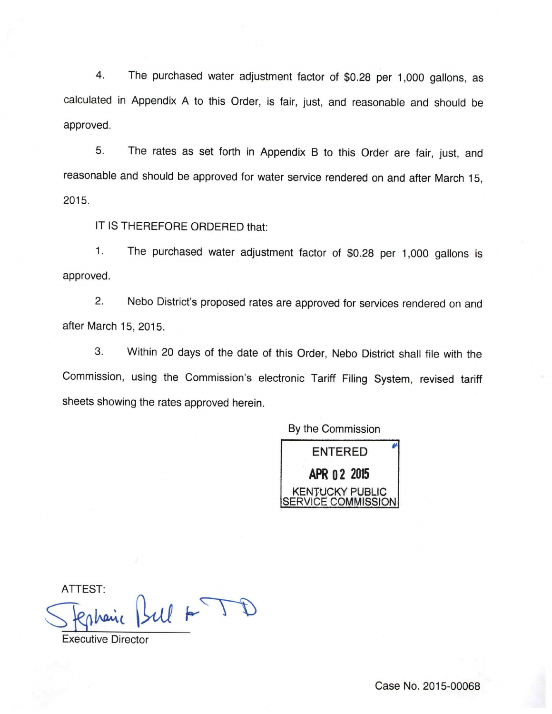4. The purchased water adjustment factor of \$0.28 per 1,000 gallons, as calculated in Appendix A to this Order, is fair, just, and reasonable and should be approved.

5. The rates as set forth in Appendix B to this Order are fair, just, and reasonable and should be approved for water service rendered on and after March 15, 2015.

IT IS THEREFORE ORDERED that:

1. The purchased water adjustment factor of \$0.28 per 1,000 gallons is approved.

2. Nebo District's proposed rates are approved for services rendered on and after March 15, 2015.

3. Within 20 days of the date of this Order, Nebo District shall file with the Commission, using the Commission's electronic Tariff Filing System, revised tariff sheets showing the rates approved herein.

By the Commission



ATTEST:

 $AT = 1$ 

Executive Director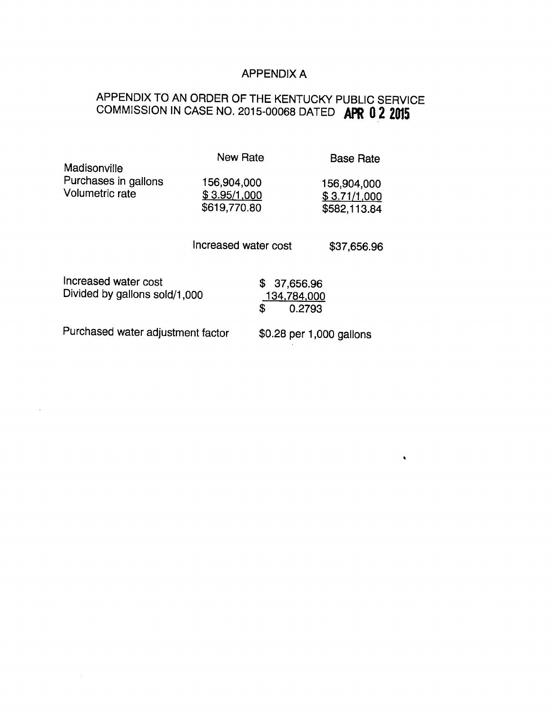## APPENDIX A

 $\hat{\mathbf{v}}$ 

# APPENDIX TO AN ORDER OF THE KENTUCKY PUBLIC SERVICE COMMISSION IN CASE NO. 2015-00068 DATED **APR 0 2 2015**

| Madisonville                                          | <b>New Rate</b>                             | <b>Base Rate</b>                            |
|-------------------------------------------------------|---------------------------------------------|---------------------------------------------|
| Purchases in gallons<br>Volumetric rate               | 156,904,000<br>\$3.95/1,000<br>\$619,770.80 | 156,904,000<br>\$3.71/1,000<br>\$582,113.84 |
|                                                       | Increased water cost                        | \$37,656.96                                 |
| Increased water cost<br>Divided by gallons sold/1,000 | \$                                          | \$37,656.96<br>134,784,000<br>0.2793        |
| Purchased water adjustment factor                     |                                             | \$0.28 per 1,000 gallons                    |

 $\cdot$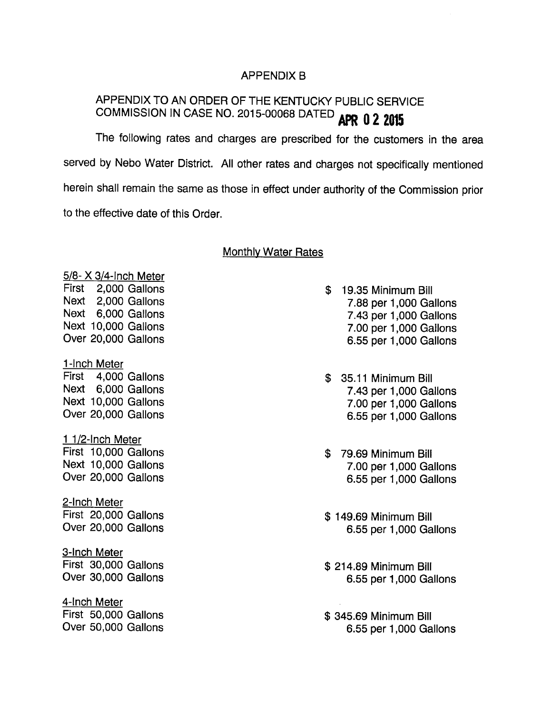### APPENDIX B

## APPENDIX TO AN ORDER OF THE KENTUCKY PUBLIC SERVICE COMMISSION IN CASE NO. 2015-00068 DATED APR 0 2 2015

The following rates and charges are prescribed for the customers in the area served by Nebo Water District. All other rates and charges not specifically mentioned herein shall remain the same as those in effect under authority of the Commission prior to the effective date of this Order.

#### Monthly Water Rates

## 5/8- X 3/4-Inch Meter First 2,000 Gallons Next 2,000 Gallons Next 6,000 Gallons Next 10,000 Gallons Over 20,000 Gallons 1-Inch Meter First 4,000 Gallons Next 6,000 Gallons Next 10,000 Gallons Over 20,000 Gallons 1 1/2-Inch Meter First 10,000 Gallons Next 10,000 Gallons Over 20,000 Gallons 2-Inch Meter First 20,000 Gallons Over 20,000 Gallons

3-Inch Meter First 30,000 Gallons Over 30,000 Gallons

4-Inch Meter First 50,000 Gallons Over 50,000 Gallons

- \$ 19.35 Minimum Bill 7.88 per 1,000 Gallons 7.43 per 1,000 Gallons 7.00 per 1,000 Gallons 6.55 per 1,000 Gallons
- \$ 35.11 Minimum Bill 7.43 per 1,000 Gallons 7.00 per 1,000 Gallons 6.55 per 1,000 Gallons
- \$ 79.69 Minimum Bill 7.00 per 1,000 Gallons 6.55 per 1,000 Gallons
- \$ 149.69 Minimum Bill 6.55 per 1,000 Gallons
- \$ 214.89 Minimum Bill 6.55 per 1,000 Gallons
- \$ 345.69 Minimum Bill 6.55 per 1,000 Gallons